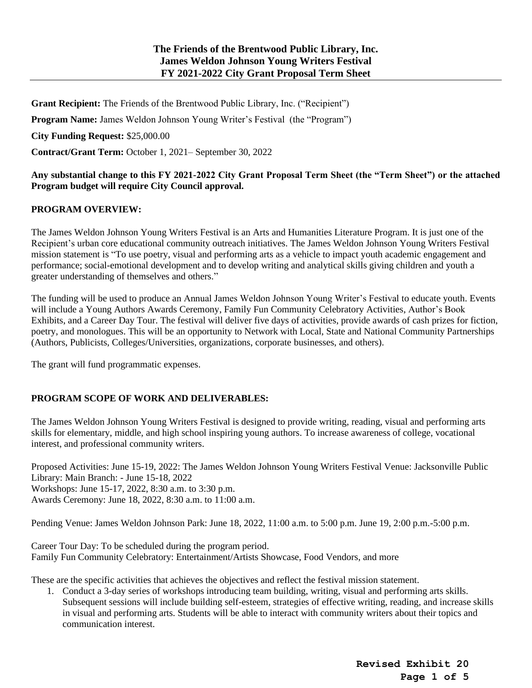**Grant Recipient:** The Friends of the Brentwood Public Library, Inc. ("Recipient")

**Program Name:** James Weldon Johnson Young Writer's Festival (the "Program")

**City Funding Request:** \$25,000.00

**Contract/Grant Term:** October 1, 2021– September 30, 2022

# **Any substantial change to this FY 2021-2022 City Grant Proposal Term Sheet (the "Term Sheet") or the attached Program budget will require City Council approval.**

# **PROGRAM OVERVIEW:**

The James Weldon Johnson Young Writers Festival is an Arts and Humanities Literature Program. It is just one of the Recipient's urban core educational community outreach initiatives. The James Weldon Johnson Young Writers Festival mission statement is "To use poetry, visual and performing arts as a vehicle to impact youth academic engagement and performance; social-emotional development and to develop writing and analytical skills giving children and youth a greater understanding of themselves and others."

The funding will be used to produce an Annual James Weldon Johnson Young Writer's Festival to educate youth. Events will include a Young Authors Awards Ceremony, Family Fun Community Celebratory Activities, Author's Book Exhibits, and a Career Day Tour. The festival will deliver five days of activities, provide awards of cash prizes for fiction, poetry, and monologues. This will be an opportunity to Network with Local, State and National Community Partnerships (Authors, Publicists, Colleges/Universities, organizations, corporate businesses, and others).

The grant will fund programmatic expenses.

# **PROGRAM SCOPE OF WORK AND DELIVERABLES:**

The James Weldon Johnson Young Writers Festival is designed to provide writing, reading, visual and performing arts skills for elementary, middle, and high school inspiring young authors. To increase awareness of college, vocational interest, and professional community writers.

Proposed Activities: June 15-19, 2022: The James Weldon Johnson Young Writers Festival Venue: Jacksonville Public Library: Main Branch: - June 15-18, 2022 Workshops: June 15-17, 2022, 8:30 a.m. to 3:30 p.m. Awards Ceremony: June 18, 2022, 8:30 a.m. to 11:00 a.m.

Pending Venue: James Weldon Johnson Park: June 18, 2022, 11:00 a.m. to 5:00 p.m. June 19, 2:00 p.m.-5:00 p.m.

Career Tour Day: To be scheduled during the program period. Family Fun Community Celebratory: Entertainment/Artists Showcase, Food Vendors, and more

These are the specific activities that achieves the objectives and reflect the festival mission statement.

1. Conduct a 3-day series of workshops introducing team building, writing, visual and performing arts skills. Subsequent sessions will include building self-esteem, strategies of effective writing, reading, and increase skills in visual and performing arts. Students will be able to interact with community writers about their topics and communication interest.

> **Revised Exhibit 20 Page 1 of 5**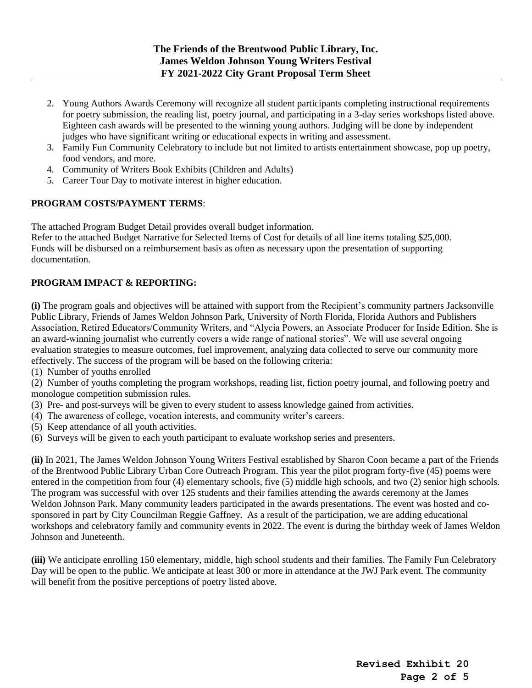- 2. Young Authors Awards Ceremony will recognize all student participants completing instructional requirements for poetry submission, the reading list, poetry journal, and participating in a 3-day series workshops listed above. Eighteen cash awards will be presented to the winning young authors. Judging will be done by independent judges who have significant writing or educational expects in writing and assessment.
- 3. Family Fun Community Celebratory to include but not limited to artists entertainment showcase, pop up poetry, food vendors, and more.
- 4. Community of Writers Book Exhibits (Children and Adults)
- 5. Career Tour Day to motivate interest in higher education.

# **PROGRAM COSTS/PAYMENT TERMS**:

The attached Program Budget Detail provides overall budget information.

Refer to the attached Budget Narrative for Selected Items of Cost for details of all line items totaling \$25,000. Funds will be disbursed on a reimbursement basis as often as necessary upon the presentation of supporting documentation.

# **PROGRAM IMPACT & REPORTING:**

**(i)** The program goals and objectives will be attained with support from the Recipient's community partners Jacksonville Public Library, Friends of James Weldon Johnson Park, University of North Florida, Florida Authors and Publishers Association, Retired Educators/Community Writers, and "Alycia Powers, an Associate Producer for Inside Edition. She is an award-winning journalist who currently covers a wide range of national stories". We will use several ongoing evaluation strategies to measure outcomes, fuel improvement, analyzing data collected to serve our community more effectively. The success of the program will be based on the following criteria:

(1) Number of youths enrolled

(2) Number of youths completing the program workshops, reading list, fiction poetry journal, and following poetry and monologue competition submission rules.

- (3) Pre- and post-surveys will be given to every student to assess knowledge gained from activities.
- (4) The awareness of college, vocation interests, and community writer's careers.
- (5) Keep attendance of all youth activities.
- (6) Surveys will be given to each youth participant to evaluate workshop series and presenters.

**(ii)** In 2021, The James Weldon Johnson Young Writers Festival established by Sharon Coon became a part of the Friends of the Brentwood Public Library Urban Core Outreach Program. This year the pilot program forty-five (45) poems were entered in the competition from four (4) elementary schools, five (5) middle high schools, and two (2) senior high schools. The program was successful with over 125 students and their families attending the awards ceremony at the James Weldon Johnson Park. Many community leaders participated in the awards presentations. The event was hosted and cosponsored in part by City Councilman Reggie Gaffney. As a result of the participation, we are adding educational workshops and celebratory family and community events in 2022. The event is during the birthday week of James Weldon Johnson and Juneteenth.

**(iii)** We anticipate enrolling 150 elementary, middle, high school students and their families. The Family Fun Celebratory Day will be open to the public. We anticipate at least 300 or more in attendance at the JWJ Park event. The community will benefit from the positive perceptions of poetry listed above.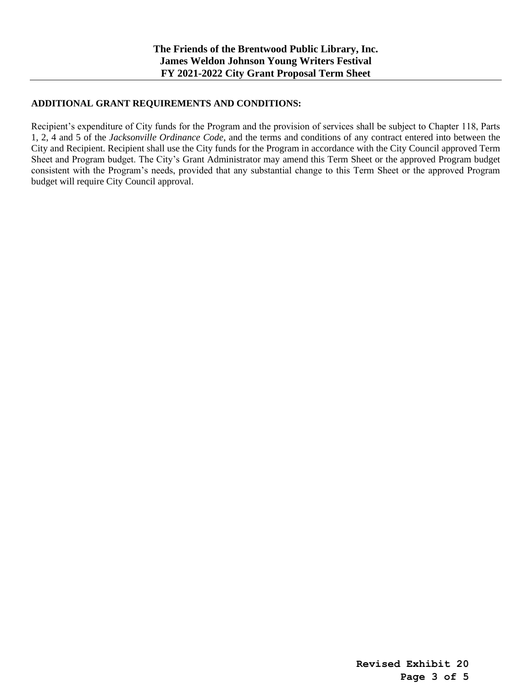## **ADDITIONAL GRANT REQUIREMENTS AND CONDITIONS:**

Recipient's expenditure of City funds for the Program and the provision of services shall be subject to Chapter 118, Parts 1, 2, 4 and 5 of the *Jacksonville Ordinance Code*, and the terms and conditions of any contract entered into between the City and Recipient. Recipient shall use the City funds for the Program in accordance with the City Council approved Term Sheet and Program budget. The City's Grant Administrator may amend this Term Sheet or the approved Program budget consistent with the Program's needs, provided that any substantial change to this Term Sheet or the approved Program budget will require City Council approval.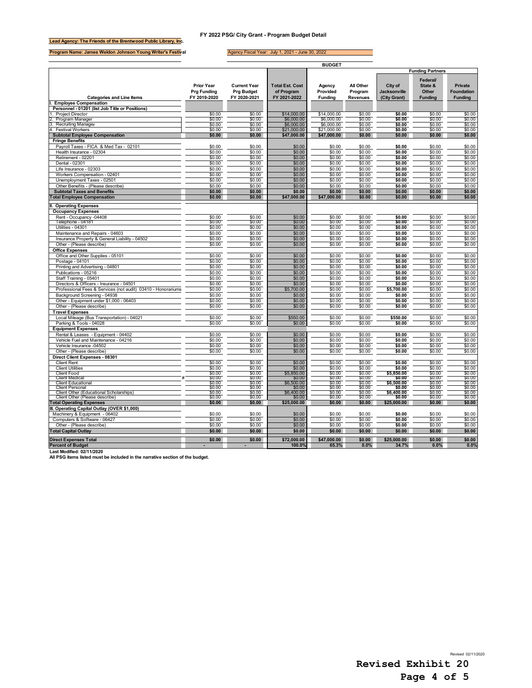### **FY 2022 PSG/ City Grant - Program Budget Detail**

**Lead Agency: The Friends of the Brentwood Public Library, Inc.**

**Program Name: James Weldon Johnson Young Writer's Festival**

 $\mathbb{R}$ 

#### Agency Fiscal Year: July 1, 2021 - June 30, 2022

|                                                                                                            |                                                         |                                                          |                                                      | <b>BUDGET</b>                        |                                  |                                                |                                               |                                                |
|------------------------------------------------------------------------------------------------------------|---------------------------------------------------------|----------------------------------------------------------|------------------------------------------------------|--------------------------------------|----------------------------------|------------------------------------------------|-----------------------------------------------|------------------------------------------------|
|                                                                                                            |                                                         |                                                          |                                                      |                                      |                                  |                                                | <b>Funding Partners</b>                       |                                                |
| <b>Categories and Line Items</b>                                                                           | <b>Prior Year</b><br><b>Prg Funding</b><br>FY 2019-2020 | <b>Current Year</b><br><b>Prg Budget</b><br>FY 2020-2021 | <b>Total Est. Cost</b><br>of Program<br>FY 2021-2022 | Agency<br>Provided<br><b>Funding</b> | All Other<br>Program<br>Revenues | City of<br><b>Jacksonville</b><br>(City Grant) | Federal<br>State &<br>Other<br><b>Funding</b> | Private<br><b>Foundation</b><br><b>Funding</b> |
| <b>Employee Compensation</b>                                                                               |                                                         |                                                          |                                                      |                                      |                                  |                                                |                                               |                                                |
| Personnel - 01201 (list Job Title or Positions)<br><b>Project Director</b>                                 | \$0.00                                                  | \$0.00                                                   | \$14,000.00                                          | \$14,000.00                          | \$0.00                           | \$0.00                                         | \$0.00                                        | \$0.00                                         |
| Program Manager                                                                                            | \$0.00                                                  | \$0.00                                                   | \$6,000.00                                           | \$6,000.00                           | \$0.00                           | \$0.00                                         | \$0.00                                        | \$0.00                                         |
| <b>Recruiting Manager</b>                                                                                  | \$0.00                                                  | \$0.00                                                   | \$6,000.00                                           | \$6,000.00                           | \$0.00                           | \$0.00                                         | \$0.00                                        | \$0.00                                         |
| <b>Festival Workers</b>                                                                                    | \$0.00                                                  | \$0.00                                                   | \$21,000.00                                          | \$21,000.00                          | \$0.00                           | \$0.00                                         | \$0.00                                        | \$0.00                                         |
| <b>Subtotal Employee Compensation</b>                                                                      | \$0.00                                                  | \$0.00                                                   | \$47,000.00                                          | \$47,000.00                          | \$0.00                           | \$0.00                                         | \$0.00                                        | \$0.00                                         |
| <b>Fringe Benefits</b><br>Payroll Taxes - FICA & Med Tax - 02101                                           | \$0.00                                                  | \$0.00                                                   | \$0.00                                               | \$0.00                               | \$0.00                           | \$0.00                                         | \$0.00                                        | \$0.00                                         |
| Health Insurance - 02304                                                                                   | \$0.00                                                  | \$0.00                                                   | \$0.00                                               | \$0.00                               | \$0.00                           | \$0.00                                         | \$0.00                                        | \$0.00                                         |
| Retirement - 02201                                                                                         | \$0.00                                                  | \$0.00                                                   | \$0.00                                               | \$0.00                               | \$0.00                           | \$0.00                                         | \$0.00                                        | \$0.00                                         |
| Dental - 02301                                                                                             | \$0.00                                                  | \$0.00                                                   | \$0.00                                               | \$0.00                               | \$0.00                           | \$0.00                                         | \$0.00                                        | \$0.00                                         |
| Life Insurance - 02303                                                                                     | \$0.00                                                  | \$0.00<br>\$0.00                                         | \$0.00<br>\$0.00                                     | \$0.00<br>\$0.00                     | \$0.00<br>\$0.00                 | \$0.00<br>\$0.00                               | \$0.00                                        | \$0.00<br>\$0.00                               |
| Workers Compensation - 02401<br>Unemployment Taxes - 02501                                                 | \$0.00<br>\$0.00                                        | \$0.00                                                   | \$0.00                                               | \$0.00                               | \$0.00                           | \$0.00                                         | \$0.00<br>\$0.00                              | \$0.00                                         |
| Other Benefits - (Please describe)                                                                         | \$0.00                                                  | \$0.00                                                   | \$0.00                                               | \$0.00                               | \$0.00                           | \$0.00                                         | \$0.00                                        | \$0.00                                         |
| <b>Subtotal Taxes and Benefits</b>                                                                         | \$0.00                                                  | \$0.00                                                   | \$0.00                                               | \$0.00                               | \$0.00                           | \$0.00                                         | \$0.00                                        | \$0.00                                         |
| <b>Total Employee Compensation</b>                                                                         | \$0.00                                                  | \$0.00                                                   | \$47,000.00                                          | \$47,000.00                          | \$0.00                           | \$0.00                                         | \$0.00                                        | \$0.00                                         |
| <b>Operating Expenses</b>                                                                                  |                                                         |                                                          |                                                      |                                      |                                  |                                                |                                               |                                                |
| <b>Occupancy Expenses</b><br>Rent - Occupancy -04408                                                       | \$0.00                                                  | \$0.00                                                   | \$0.00                                               | \$0.00                               | \$0.00                           | \$0.00                                         | \$0.00                                        | \$0.00                                         |
| Telephone - 04181                                                                                          | \$0.00                                                  | \$0.00                                                   | \$0.00                                               | \$0.00                               | \$0.00                           | \$0.00                                         | \$0.00                                        | \$0.00                                         |
| Utilities - 04301                                                                                          | \$0.00                                                  | \$0.00                                                   | \$0.00                                               | \$0.00                               | \$0.00                           | \$0.00                                         | \$0.00                                        | \$0.00                                         |
| Maintenance and Repairs - 04603<br>Insurance Property & General Liability - 04502                          | \$0.00                                                  | \$0.00                                                   | \$0.00<br>\$0.00                                     | \$0.00                               | \$0.00<br>\$0.00                 | \$0.00<br>\$0.00                               | \$0.00<br>\$0.00                              | \$0.00<br>\$0.00                               |
| Other - (Please describe)                                                                                  | \$0.00<br>\$0.00                                        | \$0.00<br>\$0.00                                         | \$0.00                                               | \$0.00<br>\$0.00                     | \$0.00                           | \$0.00                                         | \$0.00                                        | \$0.00                                         |
| <b>Office Expenses</b>                                                                                     |                                                         |                                                          |                                                      |                                      |                                  |                                                |                                               |                                                |
| Office and Other Supplies - 05101                                                                          | \$0.00                                                  | \$0.00                                                   | \$0.00                                               | \$0.00                               | \$0.00                           | \$0.00                                         | \$0.00                                        | \$0.00                                         |
| Postage - 04101                                                                                            | \$0.00                                                  | \$0.00                                                   | \$0.00                                               | \$0.00                               | \$0.00                           | \$0.00                                         | \$0.00                                        | \$0.00                                         |
| Printing and Advertising - 04801<br>Publications - 05216                                                   | \$0.00<br>\$0.00                                        | \$0.00<br>\$0.00                                         | \$0.00<br>\$0.00                                     | \$0.00<br>\$0.00                     | \$0.00<br>\$0.00                 | \$0.00<br>\$0.00                               | \$0.00<br>\$0.00                              | \$0.00<br>\$0.00                               |
| Staff Training - 05401                                                                                     | \$0.00                                                  | \$0.00                                                   | \$0.00                                               | \$0.00                               | \$0.00                           | \$0.00                                         | \$0.00                                        | \$0.00                                         |
| Directors & Officers - Insurance - 04501                                                                   | \$0.00                                                  | \$0.00                                                   | \$0.00                                               | \$0.00                               | \$0.00                           | \$0.00                                         | \$0.00                                        | \$0.00                                         |
| Professional Fees & Services (not audit) 03410 - Honorariums                                               | \$0.00                                                  | \$0.00                                                   | \$5,700.00                                           | \$0.00                               | \$0.00                           | \$5,700.00                                     | \$0.00                                        | \$0.00                                         |
| Background Screening - 04938                                                                               | \$0.00                                                  | \$0.00                                                   | \$0.00                                               | \$0.00                               | \$0.00                           | \$0.00                                         | \$0.00                                        | \$0.00                                         |
| Other - Equipment under \$1,000 - 06403                                                                    | \$0.00<br>\$0.00                                        | \$0.00<br>\$0.00                                         | \$0.00<br>\$0.00                                     | \$0.00<br>\$0.00                     | \$0.00<br>\$0.00                 | \$0.00<br>\$0.00                               | \$0.00<br>\$0.00                              | \$0.00<br>\$0.00                               |
| Other - (Please describe)<br><b>Travel Expenses</b>                                                        |                                                         |                                                          |                                                      |                                      |                                  |                                                |                                               |                                                |
| Local Mileage (Bus Transportation) - 04021                                                                 | \$0.00                                                  | \$0.00                                                   | \$550.00                                             | \$0.00                               | \$0.00                           | \$550.00                                       | \$0.00                                        | \$0.00                                         |
| Parking & Tools - 04028                                                                                    | \$0.00                                                  | \$0.00                                                   | \$0.00                                               | \$0.00                               | \$0.00                           | \$0.00                                         | \$0.00                                        | \$0.00                                         |
| <b>Equipment Expenses</b>                                                                                  |                                                         |                                                          |                                                      |                                      |                                  |                                                |                                               |                                                |
| Rental & Leases - Equipment - 04402<br>Vehicle Fuel and Maintenance - 04216                                | \$0.00<br>\$0.00                                        | \$0.00<br>\$0.00                                         | \$0.00<br>\$0.00                                     | \$0.00<br>\$0.00                     | \$0.00<br>\$0.00                 | \$0.00<br>\$0.00                               | \$0.00<br>\$0.00                              | \$0.00<br>\$0.00                               |
| Vehicle Insurance -04502                                                                                   | \$0.00                                                  | \$0.00                                                   | \$0.00                                               | \$0.00                               | \$0.00                           | \$0.00                                         | \$0.00                                        | \$0.00                                         |
| Other - (Please describe)                                                                                  | \$0.00                                                  | \$0.00                                                   | \$0.00                                               | \$0.00                               | \$0.00                           | \$0.00                                         | \$0.00                                        | \$0.00                                         |
| Direct Client Expenses - 08301                                                                             |                                                         |                                                          |                                                      |                                      |                                  |                                                |                                               |                                                |
| <b>Client Rent</b>                                                                                         | \$0.00                                                  | \$0.00                                                   | \$0.00                                               | \$0.00                               | \$0.00                           | \$0.00                                         | \$0.00                                        | \$0.00                                         |
| <b>Client Utilities</b><br><b>Client Food</b>                                                              | \$0.00<br>\$0.00                                        | \$0.00<br>\$0.00                                         | \$0.00<br>\$5,850.00                                 | \$0.00<br>\$0.00                     | \$0.00<br>\$0.00                 | \$0.00<br>\$5,850.00                           | \$0.00<br>\$0.00                              | \$0.00<br>\$0.00                               |
| <b>Client Medica</b>                                                                                       | \$0.00                                                  | \$0.00                                                   | \$0.00                                               | \$0.00                               | \$0.00                           | \$0.00                                         | \$0.00                                        | \$0.00                                         |
| <b>Client Educational</b>                                                                                  | \$0.00                                                  | \$0.00                                                   | \$6,500.00                                           | \$0.00                               | \$0.00                           | \$6,500.00                                     | \$0.00                                        | \$0.00                                         |
| <b>Client Personal</b><br>Client Other (Educational Scholarships)                                          | \$0.00<br>\$0.00                                        | \$0.00<br>\$0.00                                         | \$0.00<br>\$6,400.00                                 | \$0.00<br>\$0.00                     | \$0.00<br>\$0.00                 | \$0.00<br>\$6,400.00                           | \$0.00<br>\$0.00                              | \$0.00<br>\$0.00                               |
| Client Other (Please describe)                                                                             | \$0.00                                                  | \$0.00                                                   | \$0.00                                               | \$0.00                               | \$0.00                           | \$0.00                                         | \$0.00                                        | \$0.00                                         |
| <b>Total Operating Expenses</b>                                                                            | \$0.00                                                  | \$0.00                                                   | \$25,000.00                                          | \$0.00                               | \$0.00                           | \$25,000.00                                    | \$0.00                                        | \$0.00                                         |
| III. Operating Capital Outlay (OVER \$1,000)                                                               |                                                         | \$0.00                                                   | \$0.00                                               | \$0.00                               | \$0.00                           | \$0.00                                         | \$0.00                                        | \$0.00                                         |
| Machinery & Equipment - 06402<br>Computers & Software - 06427                                              | \$0.00<br>\$0.00                                        | \$0.00                                                   | \$0.00                                               | \$0.00                               | \$0.00                           | \$0.00                                         | \$0.00                                        | \$0.00                                         |
| Other - (Please describe)                                                                                  | \$0.00                                                  | \$0.00                                                   | \$0.00                                               | \$0.00                               | \$0.00                           | \$0.00                                         | \$0.00                                        | \$0.00                                         |
| <b>Total Capital Outlay</b>                                                                                | \$0.00                                                  | \$0.00                                                   | \$0.00                                               | \$0.00                               | \$0.00                           | \$0.00                                         | \$0.00                                        | \$0.00                                         |
| <b>Direct Expenses Total</b>                                                                               | \$0.00                                                  | \$0.00                                                   | \$72,000.00                                          | \$47,000.00                          | \$0.00                           | \$25,000.00                                    | \$0.00                                        | \$0.00                                         |
| <b>Percent of Budget</b>                                                                                   |                                                         |                                                          | 100.0%                                               | 65.3%                                | 0.0%                             | 34.7%                                          | 0.0%                                          | 0.0%                                           |
| Last Modified: 02/11/2020<br>All PSG items listed must be included in the narrative section of the budget. |                                                         |                                                          |                                                      |                                      |                                  |                                                |                                               |                                                |